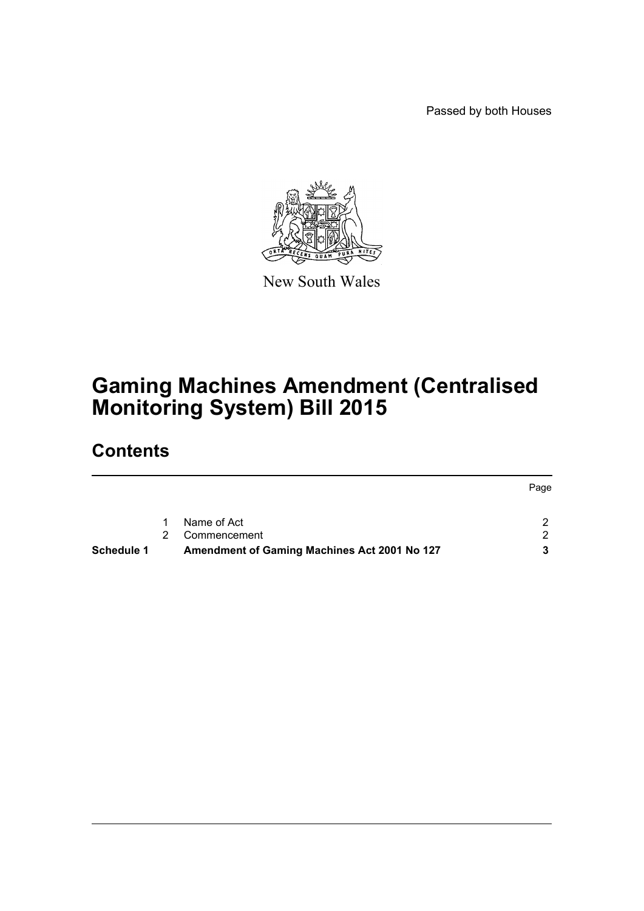Passed by both Houses



New South Wales

# **Gaming Machines Amendment (Centralised Monitoring System) Bill 2015**

# **Contents**

|                   |   |                                              | Page          |
|-------------------|---|----------------------------------------------|---------------|
|                   |   | Name of Act                                  |               |
|                   |   |                                              |               |
|                   | 2 | Commencement                                 | $\mathcal{D}$ |
| <b>Schedule 1</b> |   | Amendment of Gaming Machines Act 2001 No 127 |               |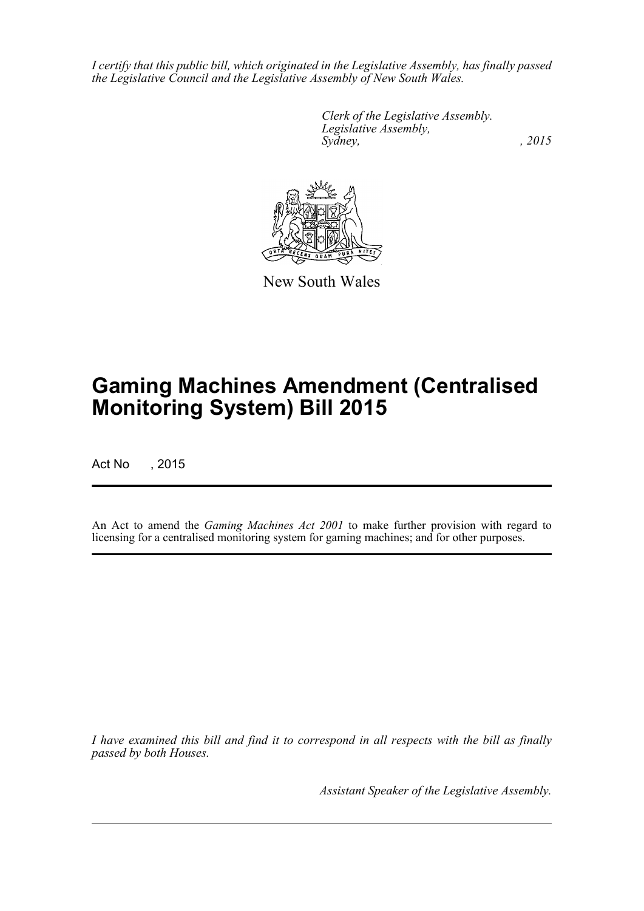*I certify that this public bill, which originated in the Legislative Assembly, has finally passed the Legislative Council and the Legislative Assembly of New South Wales.*

> *Clerk of the Legislative Assembly. Legislative Assembly, Sydney,* , 2015



New South Wales

# **Gaming Machines Amendment (Centralised Monitoring System) Bill 2015**

Act No , 2015

An Act to amend the *Gaming Machines Act 2001* to make further provision with regard to licensing for a centralised monitoring system for gaming machines; and for other purposes.

*I have examined this bill and find it to correspond in all respects with the bill as finally passed by both Houses.*

*Assistant Speaker of the Legislative Assembly.*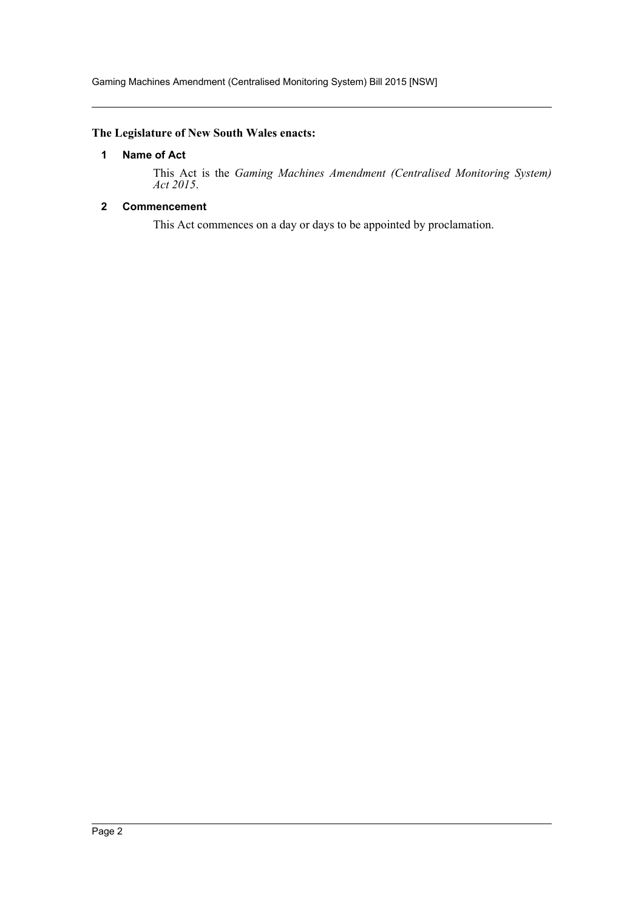# <span id="page-2-0"></span>**The Legislature of New South Wales enacts:**

# **1 Name of Act**

This Act is the *Gaming Machines Amendment (Centralised Monitoring System) Act 2015*.

# <span id="page-2-1"></span>**2 Commencement**

This Act commences on a day or days to be appointed by proclamation.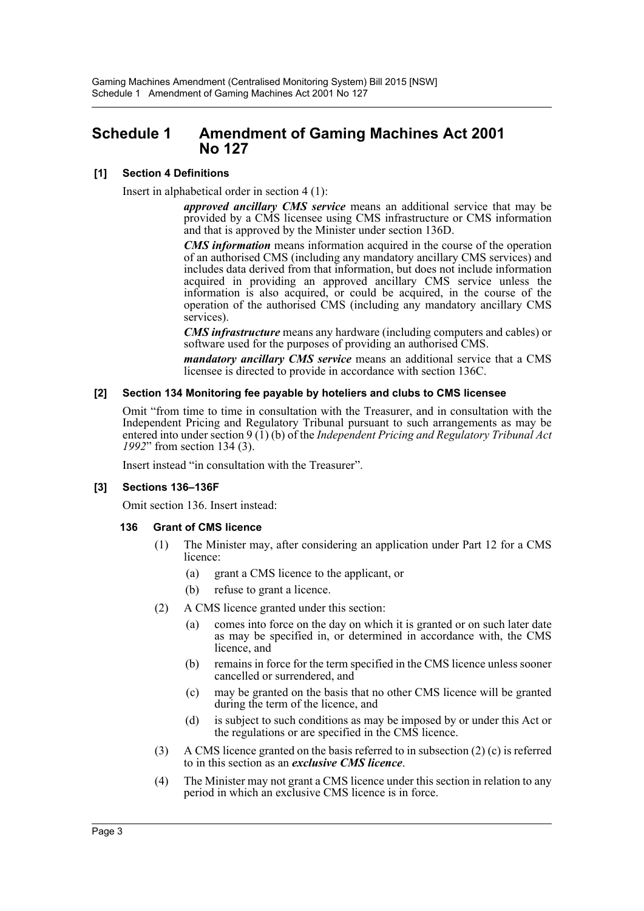# <span id="page-3-0"></span>**Schedule 1 Amendment of Gaming Machines Act 2001 No 127**

# **[1] Section 4 Definitions**

Insert in alphabetical order in section 4 (1):

*approved ancillary CMS service* means an additional service that may be provided by a CMS licensee using CMS infrastructure or CMS information and that is approved by the Minister under section 136D.

*CMS information* means information acquired in the course of the operation of an authorised CMS (including any mandatory ancillary CMS services) and includes data derived from that information, but does not include information acquired in providing an approved ancillary CMS service unless the information is also acquired, or could be acquired, in the course of the operation of the authorised CMS (including any mandatory ancillary CMS services).

*CMS infrastructure* means any hardware (including computers and cables) or software used for the purposes of providing an authorised CMS.

*mandatory ancillary CMS service* means an additional service that a CMS licensee is directed to provide in accordance with section 136C.

### **[2] Section 134 Monitoring fee payable by hoteliers and clubs to CMS licensee**

Omit "from time to time in consultation with the Treasurer, and in consultation with the Independent Pricing and Regulatory Tribunal pursuant to such arrangements as may be entered into under section 9 (1) (b) of the *Independent Pricing and Regulatory Tribunal Act 1992*" from section 134 (3).

Insert instead "in consultation with the Treasurer".

### **[3] Sections 136–136F**

Omit section 136. Insert instead:

### **136 Grant of CMS licence**

- (1) The Minister may, after considering an application under Part 12 for a CMS licence:
	- (a) grant a CMS licence to the applicant, or
	- (b) refuse to grant a licence.
- (2) A CMS licence granted under this section:
	- (a) comes into force on the day on which it is granted or on such later date as may be specified in, or determined in accordance with, the CMS licence, and
	- (b) remains in force for the term specified in the CMS licence unless sooner cancelled or surrendered, and
	- (c) may be granted on the basis that no other CMS licence will be granted during the term of the licence, and
	- (d) is subject to such conditions as may be imposed by or under this Act or the regulations or are specified in the CMS licence.
- (3) A CMS licence granted on the basis referred to in subsection (2) (c) is referred to in this section as an *exclusive CMS licence*.
- (4) The Minister may not grant a CMS licence under this section in relation to any period in which an exclusive CMS licence is in force.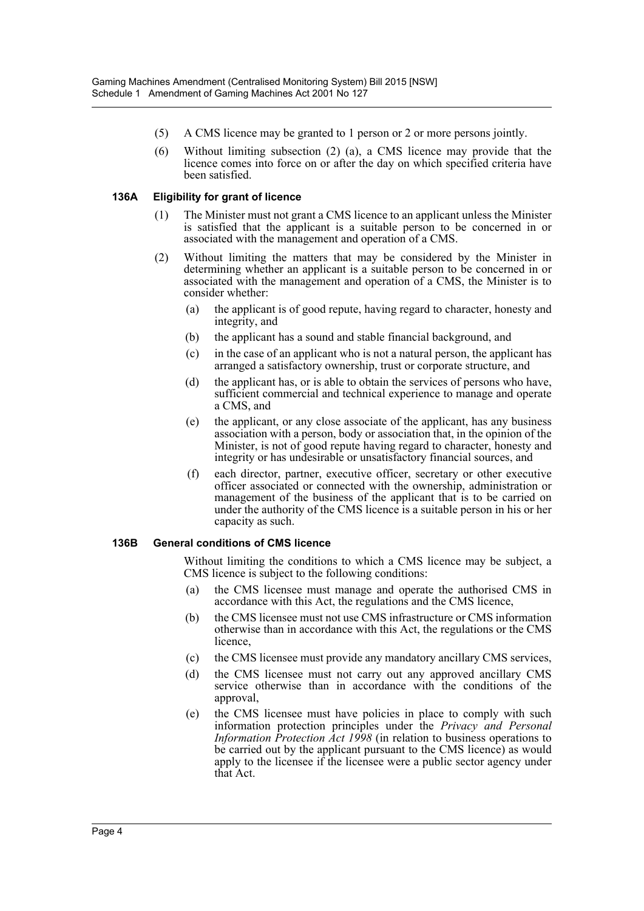- (5) A CMS licence may be granted to 1 person or 2 or more persons jointly.
- (6) Without limiting subsection (2) (a), a CMS licence may provide that the licence comes into force on or after the day on which specified criteria have been satisfied.

# **136A Eligibility for grant of licence**

- (1) The Minister must not grant a CMS licence to an applicant unless the Minister is satisfied that the applicant is a suitable person to be concerned in or associated with the management and operation of a CMS.
- (2) Without limiting the matters that may be considered by the Minister in determining whether an applicant is a suitable person to be concerned in or associated with the management and operation of a CMS, the Minister is to consider whether:
	- (a) the applicant is of good repute, having regard to character, honesty and integrity, and
	- (b) the applicant has a sound and stable financial background, and
	- (c) in the case of an applicant who is not a natural person, the applicant has arranged a satisfactory ownership, trust or corporate structure, and
	- (d) the applicant has, or is able to obtain the services of persons who have, sufficient commercial and technical experience to manage and operate a CMS, and
	- (e) the applicant, or any close associate of the applicant, has any business association with a person, body or association that, in the opinion of the Minister, is not of good repute having regard to character, honesty and integrity or has undesirable or unsatisfactory financial sources, and
	- (f) each director, partner, executive officer, secretary or other executive officer associated or connected with the ownership, administration or management of the business of the applicant that is to be carried on under the authority of the CMS licence is a suitable person in his or her capacity as such.

### **136B General conditions of CMS licence**

Without limiting the conditions to which a CMS licence may be subject, a CMS licence is subject to the following conditions:

- (a) the CMS licensee must manage and operate the authorised CMS in accordance with this Act, the regulations and the CMS licence,
- (b) the CMS licensee must not use CMS infrastructure or CMS information otherwise than in accordance with this Act, the regulations or the CMS licence,
- (c) the CMS licensee must provide any mandatory ancillary CMS services,
- (d) the CMS licensee must not carry out any approved ancillary CMS service otherwise than in accordance with the conditions of the approval,
- (e) the CMS licensee must have policies in place to comply with such information protection principles under the *Privacy and Personal Information Protection Act 1998* (in relation to business operations to be carried out by the applicant pursuant to the CMS licence) as would apply to the licensee if the licensee were a public sector agency under that Act.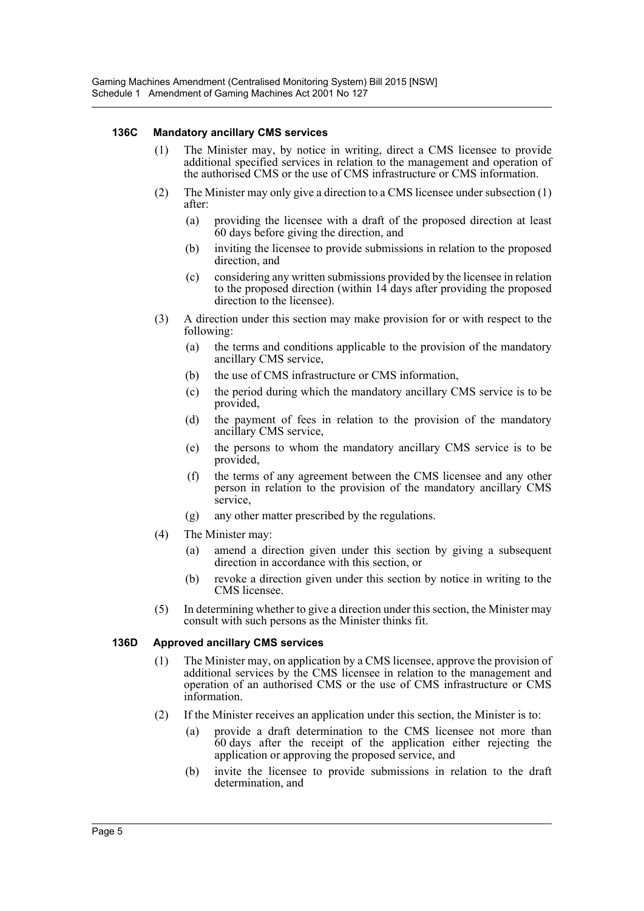# **136C Mandatory ancillary CMS services**

- (1) The Minister may, by notice in writing, direct a CMS licensee to provide additional specified services in relation to the management and operation of the authorised CMS or the use of CMS infrastructure or CMS information.
- (2) The Minister may only give a direction to a CMS licensee under subsection (1) after:
	- (a) providing the licensee with a draft of the proposed direction at least 60 days before giving the direction, and
	- (b) inviting the licensee to provide submissions in relation to the proposed direction, and
	- (c) considering any written submissions provided by the licensee in relation to the proposed direction (within 14 days after providing the proposed direction to the licensee).
- (3) A direction under this section may make provision for or with respect to the following:
	- (a) the terms and conditions applicable to the provision of the mandatory ancillary CMS service,
	- (b) the use of CMS infrastructure or CMS information,
	- (c) the period during which the mandatory ancillary CMS service is to be provided,
	- (d) the payment of fees in relation to the provision of the mandatory ancillary CMS service,
	- (e) the persons to whom the mandatory ancillary CMS service is to be provided,
	- (f) the terms of any agreement between the CMS licensee and any other person in relation to the provision of the mandatory ancillary CMS service,
	- (g) any other matter prescribed by the regulations.
- (4) The Minister may:
	- (a) amend a direction given under this section by giving a subsequent direction in accordance with this section, or
	- (b) revoke a direction given under this section by notice in writing to the CMS licensee.
- (5) In determining whether to give a direction under this section, the Minister may consult with such persons as the Minister thinks fit.

### **136D Approved ancillary CMS services**

- (1) The Minister may, on application by a CMS licensee, approve the provision of additional services by the CMS licensee in relation to the management and operation of an authorised CMS or the use of CMS infrastructure or CMS information.
- (2) If the Minister receives an application under this section, the Minister is to:
	- (a) provide a draft determination to the CMS licensee not more than 60 days after the receipt of the application either rejecting the application or approving the proposed service, and
	- (b) invite the licensee to provide submissions in relation to the draft determination, and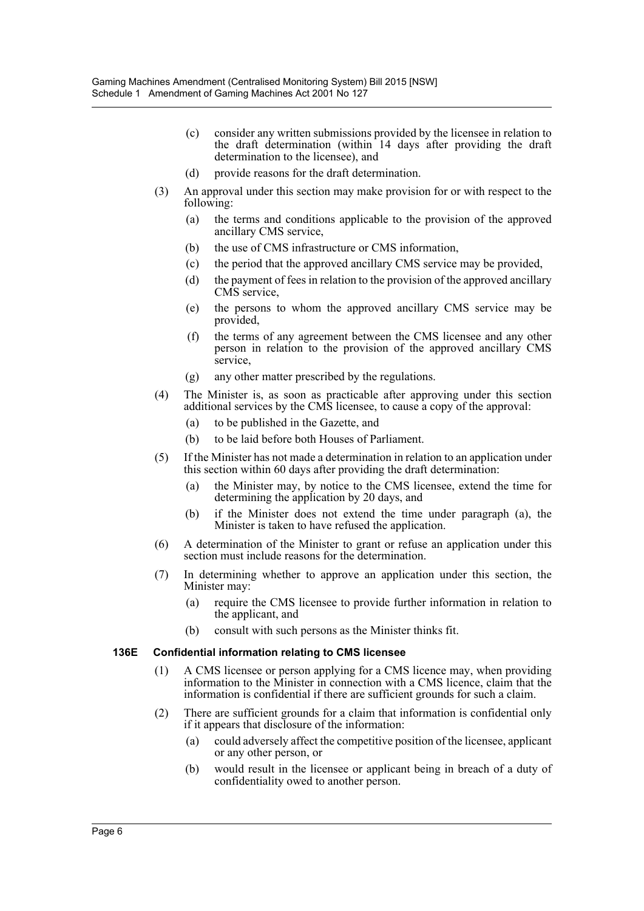- (c) consider any written submissions provided by the licensee in relation to the draft determination (within 14 days after providing the draft determination to the licensee), and
- (d) provide reasons for the draft determination.
- (3) An approval under this section may make provision for or with respect to the following:
	- (a) the terms and conditions applicable to the provision of the approved ancillary CMS service,
	- (b) the use of CMS infrastructure or CMS information,
	- (c) the period that the approved ancillary CMS service may be provided,
	- (d) the payment of fees in relation to the provision of the approved ancillary CMS service,
	- (e) the persons to whom the approved ancillary CMS service may be provided,
	- (f) the terms of any agreement between the CMS licensee and any other person in relation to the provision of the approved ancillary CMS service,
	- (g) any other matter prescribed by the regulations.
- (4) The Minister is, as soon as practicable after approving under this section additional services by the CMS licensee, to cause a copy of the approval:
	- (a) to be published in the Gazette, and
	- (b) to be laid before both Houses of Parliament.
- (5) If the Minister has not made a determination in relation to an application under this section within 60 days after providing the draft determination:
	- (a) the Minister may, by notice to the CMS licensee, extend the time for determining the application by 20 days, and
	- (b) if the Minister does not extend the time under paragraph (a), the Minister is taken to have refused the application.
- (6) A determination of the Minister to grant or refuse an application under this section must include reasons for the determination.
- (7) In determining whether to approve an application under this section, the Minister may:
	- (a) require the CMS licensee to provide further information in relation to the applicant, and
	- (b) consult with such persons as the Minister thinks fit.

### **136E Confidential information relating to CMS licensee**

- (1) A CMS licensee or person applying for a CMS licence may, when providing information to the Minister in connection with a CMS licence, claim that the information is confidential if there are sufficient grounds for such a claim.
- (2) There are sufficient grounds for a claim that information is confidential only if it appears that disclosure of the information:
	- (a) could adversely affect the competitive position of the licensee, applicant or any other person, or
	- (b) would result in the licensee or applicant being in breach of a duty of confidentiality owed to another person.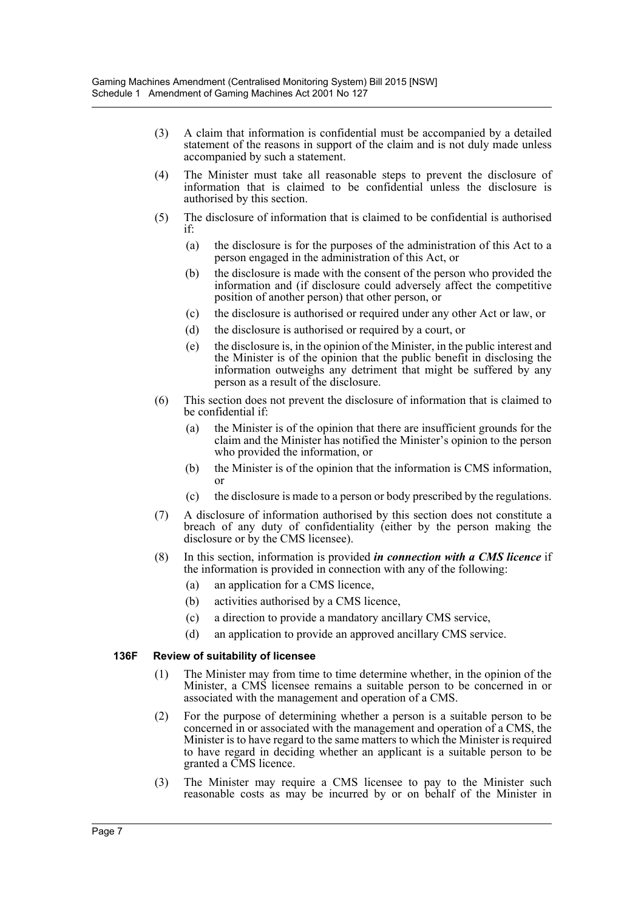- (3) A claim that information is confidential must be accompanied by a detailed statement of the reasons in support of the claim and is not duly made unless accompanied by such a statement.
- (4) The Minister must take all reasonable steps to prevent the disclosure of information that is claimed to be confidential unless the disclosure is authorised by this section.
- (5) The disclosure of information that is claimed to be confidential is authorised if:
	- (a) the disclosure is for the purposes of the administration of this Act to a person engaged in the administration of this Act, or
	- (b) the disclosure is made with the consent of the person who provided the information and (if disclosure could adversely affect the competitive position of another person) that other person, or
	- (c) the disclosure is authorised or required under any other Act or law, or
	- (d) the disclosure is authorised or required by a court, or
	- (e) the disclosure is, in the opinion of the Minister, in the public interest and the Minister is of the opinion that the public benefit in disclosing the information outweighs any detriment that might be suffered by any person as a result of the disclosure.
- (6) This section does not prevent the disclosure of information that is claimed to be confidential if:
	- (a) the Minister is of the opinion that there are insufficient grounds for the claim and the Minister has notified the Minister's opinion to the person who provided the information, or
	- (b) the Minister is of the opinion that the information is CMS information, or
	- (c) the disclosure is made to a person or body prescribed by the regulations.
- (7) A disclosure of information authorised by this section does not constitute a breach of any duty of confidentiality (either by the person making the disclosure or by the CMS licensee).
- (8) In this section, information is provided *in connection with a CMS licence* if the information is provided in connection with any of the following:
	- (a) an application for a CMS licence,
	- (b) activities authorised by a CMS licence,
	- (c) a direction to provide a mandatory ancillary CMS service,
	- (d) an application to provide an approved ancillary CMS service.

### **136F Review of suitability of licensee**

- (1) The Minister may from time to time determine whether, in the opinion of the Minister, a CMS licensee remains a suitable person to be concerned in or associated with the management and operation of a CMS.
- (2) For the purpose of determining whether a person is a suitable person to be concerned in or associated with the management and operation of a CMS, the Minister is to have regard to the same matters to which the Minister is required to have regard in deciding whether an applicant is a suitable person to be granted a CMS licence.
- (3) The Minister may require a CMS licensee to pay to the Minister such reasonable costs as may be incurred by or on behalf of the Minister in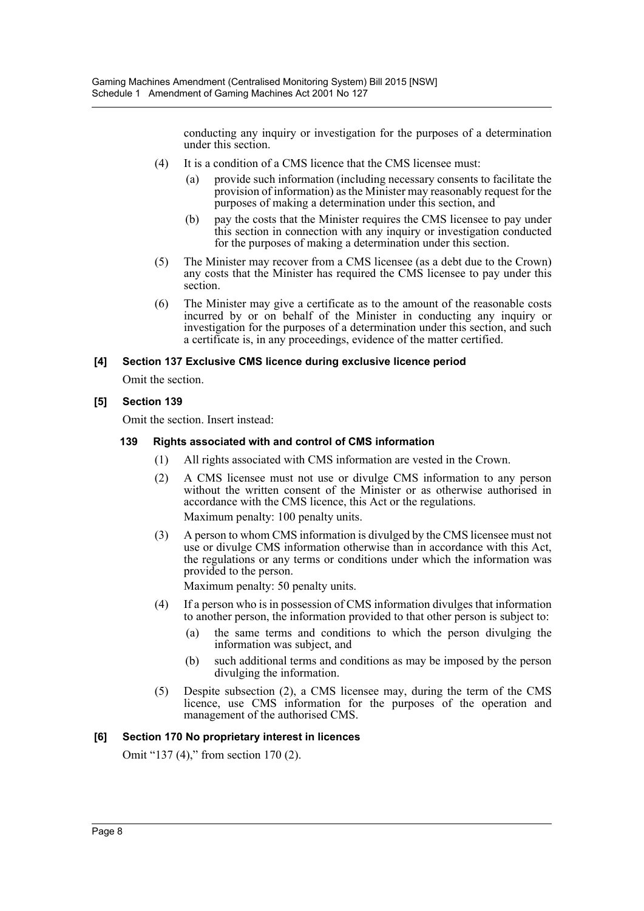conducting any inquiry or investigation for the purposes of a determination under this section.

- (4) It is a condition of a CMS licence that the CMS licensee must:
	- (a) provide such information (including necessary consents to facilitate the provision of information) as the Minister may reasonably request for the purposes of making a determination under this section, and
	- (b) pay the costs that the Minister requires the CMS licensee to pay under this section in connection with any inquiry or investigation conducted for the purposes of making a determination under this section.
- (5) The Minister may recover from a CMS licensee (as a debt due to the Crown) any costs that the Minister has required the CMS licensee to pay under this section.
- (6) The Minister may give a certificate as to the amount of the reasonable costs incurred by or on behalf of the Minister in conducting any inquiry or investigation for the purposes of a determination under this section, and such a certificate is, in any proceedings, evidence of the matter certified.

# **[4] Section 137 Exclusive CMS licence during exclusive licence period**

Omit the section.

# **[5] Section 139**

Omit the section. Insert instead:

# **139 Rights associated with and control of CMS information**

- (1) All rights associated with CMS information are vested in the Crown.
- (2) A CMS licensee must not use or divulge CMS information to any person without the written consent of the Minister or as otherwise authorised in accordance with the CMS licence, this Act or the regulations. Maximum penalty: 100 penalty units.
- (3) A person to whom CMS information is divulged by the CMS licensee must not use or divulge CMS information otherwise than in accordance with this Act, the regulations or any terms or conditions under which the information was provided to the person. Maximum penalty: 50 penalty units.
- (4) If a person who is in possession of CMS information divulges that information to another person, the information provided to that other person is subject to:
	- (a) the same terms and conditions to which the person divulging the information was subject, and
	- (b) such additional terms and conditions as may be imposed by the person divulging the information.
- (5) Despite subsection (2), a CMS licensee may, during the term of the CMS licence, use CMS information for the purposes of the operation and management of the authorised CMS.

# **[6] Section 170 No proprietary interest in licences**

Omit "137 (4)," from section 170 (2).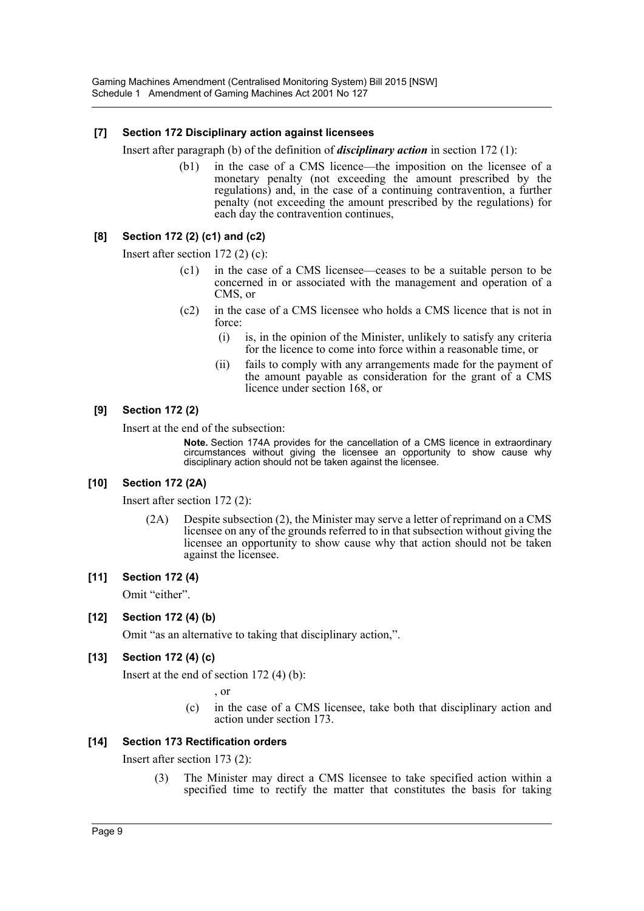# **[7] Section 172 Disciplinary action against licensees**

Insert after paragraph (b) of the definition of *disciplinary action* in section 172 (1):

(b1) in the case of a CMS licence—the imposition on the licensee of a monetary penalty (not exceeding the amount prescribed by the regulations) and, in the case of a continuing contravention, a further penalty (not exceeding the amount prescribed by the regulations) for each day the contravention continues,

# **[8] Section 172 (2) (c1) and (c2)**

Insert after section 172 (2) (c):

- (c1) in the case of a CMS licensee—ceases to be a suitable person to be concerned in or associated with the management and operation of a CMS, or
- (c2) in the case of a CMS licensee who holds a CMS licence that is not in force:
	- (i) is, in the opinion of the Minister, unlikely to satisfy any criteria for the licence to come into force within a reasonable time, or
	- (ii) fails to comply with any arrangements made for the payment of the amount payable as consideration for the grant of a CMS licence under section 168, or

### **[9] Section 172 (2)**

Insert at the end of the subsection:

**Note.** Section 174A provides for the cancellation of a CMS licence in extraordinary circumstances without giving the licensee an opportunity to show cause why disciplinary action should not be taken against the licensee.

### **[10] Section 172 (2A)**

Insert after section 172 (2):

(2A) Despite subsection (2), the Minister may serve a letter of reprimand on a CMS licensee on any of the grounds referred to in that subsection without giving the licensee an opportunity to show cause why that action should not be taken against the licensee.

### **[11] Section 172 (4)**

Omit "either".

### **[12] Section 172 (4) (b)**

Omit "as an alternative to taking that disciplinary action,".

# **[13] Section 172 (4) (c)**

Insert at the end of section 172 (4) (b):

, or

(c) in the case of a CMS licensee, take both that disciplinary action and action under section 173.

# **[14] Section 173 Rectification orders**

Insert after section 173 (2):

(3) The Minister may direct a CMS licensee to take specified action within a specified time to rectify the matter that constitutes the basis for taking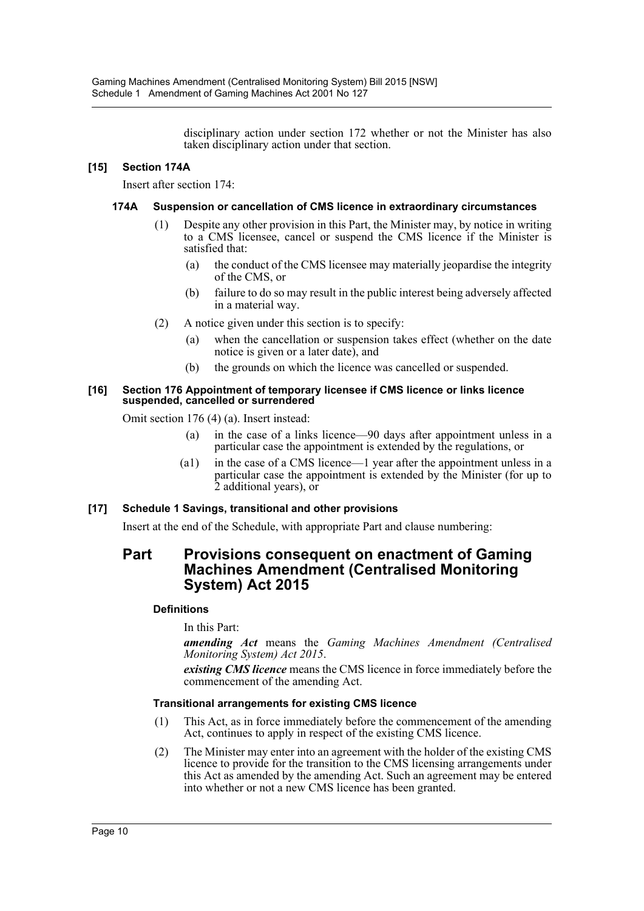disciplinary action under section 172 whether or not the Minister has also taken disciplinary action under that section.

# **[15] Section 174A**

Insert after section 174:

# **174A Suspension or cancellation of CMS licence in extraordinary circumstances**

- (1) Despite any other provision in this Part, the Minister may, by notice in writing to a CMS licensee, cancel or suspend the CMS licence if the Minister is satisfied that:
	- (a) the conduct of the CMS licensee may materially jeopardise the integrity of the CMS, or
	- (b) failure to do so may result in the public interest being adversely affected in a material way.
- (2) A notice given under this section is to specify:
	- (a) when the cancellation or suspension takes effect (whether on the date notice is given or a later date), and
	- (b) the grounds on which the licence was cancelled or suspended.

#### **[16] Section 176 Appointment of temporary licensee if CMS licence or links licence suspended, cancelled or surrendered**

Omit section 176 (4) (a). Insert instead:

- (a) in the case of a links licence—90 days after appointment unless in a particular case the appointment is extended by the regulations, or
- (a1) in the case of a CMS licence—1 year after the appointment unless in a particular case the appointment is extended by the Minister (for up to 2 additional years), or

# **[17] Schedule 1 Savings, transitional and other provisions**

Insert at the end of the Schedule, with appropriate Part and clause numbering:

# **Part Provisions consequent on enactment of Gaming Machines Amendment (Centralised Monitoring System) Act 2015**

### **Definitions**

In this Part:

*amending Act* means the *Gaming Machines Amendment (Centralised Monitoring System) Act 2015*.

*existing CMS licence* means the CMS licence in force immediately before the commencement of the amending Act.

### **Transitional arrangements for existing CMS licence**

- (1) This Act, as in force immediately before the commencement of the amending Act, continues to apply in respect of the existing CMS licence.
- (2) The Minister may enter into an agreement with the holder of the existing CMS licence to provide for the transition to the CMS licensing arrangements under this Act as amended by the amending Act. Such an agreement may be entered into whether or not a new CMS licence has been granted.